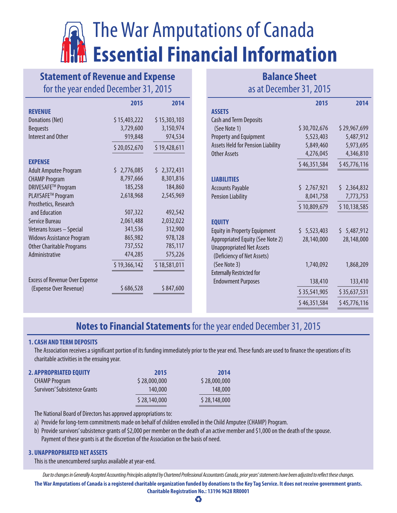# The War Amputations of Canada **Essential Financial Information**

## **Statement of Revenue and Expense** for the year ended December 31, 2015

|                                       | 2015         | 2014         |
|---------------------------------------|--------------|--------------|
| <b>REVENUE</b>                        |              |              |
| Donations (Net)                       | \$15,403,222 | \$15,303,103 |
| <b>Bequests</b>                       | 3,729,600    | 3,150,974    |
| Interest and Other                    | 919,848      | 974,534      |
|                                       | \$20,052,670 | \$19,428,611 |
| <b>EXPENSE</b>                        |              |              |
| <b>Adult Amputee Program</b>          | \$2,776,085  | \$2,372,431  |
| <b>CHAMP Program</b>                  | 8,797,666    | 8,301,816    |
| DRIVESAFE™ Program                    | 185,258      | 184,860      |
| PLAYSAFE™ Program                     | 2,618,968    | 2,545,969    |
| Prosthetics, Research                 |              |              |
| and Education                         | 507,322      | 492,542      |
| Service Bureau                        | 2,061,488    | 2,032,022    |
| Veterans Issues - Special             | 341,536      | 312,900      |
| <b>Widows Assistance Program</b>      | 865,982      | 978,128      |
| <b>Other Charitable Programs</b>      | 737,552      | 785,117      |
| Administrative                        | 474,285      | 575,226      |
|                                       | \$19,366,142 | \$18,581,011 |
| <b>Excess of Revenue Over Expense</b> |              |              |
| (Expense Over Revenue)                | \$686,528    | \$847,600    |

### **Balance Sheet** as at December 31, 2015

|                                                                | 2015         | 2014         |
|----------------------------------------------------------------|--------------|--------------|
| <b>ASSETS</b>                                                  |              |              |
| <b>Cash and Term Deposits</b>                                  |              |              |
| (See Note 1)                                                   | \$30,702,676 | \$29,967,699 |
| <b>Property and Equipment</b>                                  | 5,523,403    | 5,487,912    |
| <b>Assets Held for Pension Liability</b>                       | 5,849,460    | 5,973,695    |
| Other Assets                                                   | 4,276,045    | 4,346,810    |
|                                                                | \$46,351,584 | \$45,776,116 |
| <b>LIABILITIES</b>                                             |              |              |
| <b>Accounts Payable</b>                                        | \$2,767,921  | \$2,364,832  |
| <b>Pension Liability</b>                                       | 8,041,758    | 7,773,753    |
|                                                                | \$10,809,679 | \$10,138,585 |
| <b>EQUITY</b>                                                  |              |              |
| <b>Equity in Property Equipment</b>                            | \$5,523,403  | \$5,487,912  |
| Appropriated Equity (See Note 2)                               | 28,140,000   | 28,148,000   |
| <b>Unappropriated Net Assets</b><br>(Deficiency of Net Assets) |              |              |
| (See Note 3)                                                   | 1,740,092    | 1,868,209    |
| <b>Externally Restricted for</b>                               |              |              |
| <b>Endowment Purposes</b>                                      | 138,410      | 133,410      |
|                                                                | \$35,541,905 | \$35,637,531 |
|                                                                | \$46,351,584 | \$45,776,116 |
|                                                                |              |              |

## **Notes to Financial Statements** for the year ended December 31, 2015

#### **1.CASH AND TERM DEPOSITS**

The Association receives a significant portion of its funding immediately prior to the year end. These funds are used to finance the operations of its charitable activities in the ensuing year.

| <b>2. APPROPRIATED EQUITY</b> | 2015         | 2014         |
|-------------------------------|--------------|--------------|
| <b>CHAMP Program</b>          | \$28,000,000 | \$28,000,000 |
| Survivors' Subsistence Grants | 140,000      | 148,000      |
|                               | \$28,140,000 | \$28,148,000 |

The National Board of Directors has approved appropriations to:

a) Provide for long-term commitments made on behalf of children enrolled in the Child Amputee (CHAMP) Program.

b) Provide survivors' subsistence grants of \$2,000 per member on the death of an active member and \$1,000 on the death of the spouse. Payment of these grants is at the discretion of the Association on the basis of need.

#### **3. UNAPPROPRIATED NET ASSETS**

This is the unencumbered surplus available at year-end.

*Due to changes in Generally Accepted Accounting Principles adopted by Chartered Professional Accountants Canada, prior years' statements have been adjusted to reflect these changes.*

**The War Amputations of Canada is a registered charitable organization funded by donations to the Key Tag Service. It does not receive government grants. Charitable Registration No.: 13196 9628 RR0001**